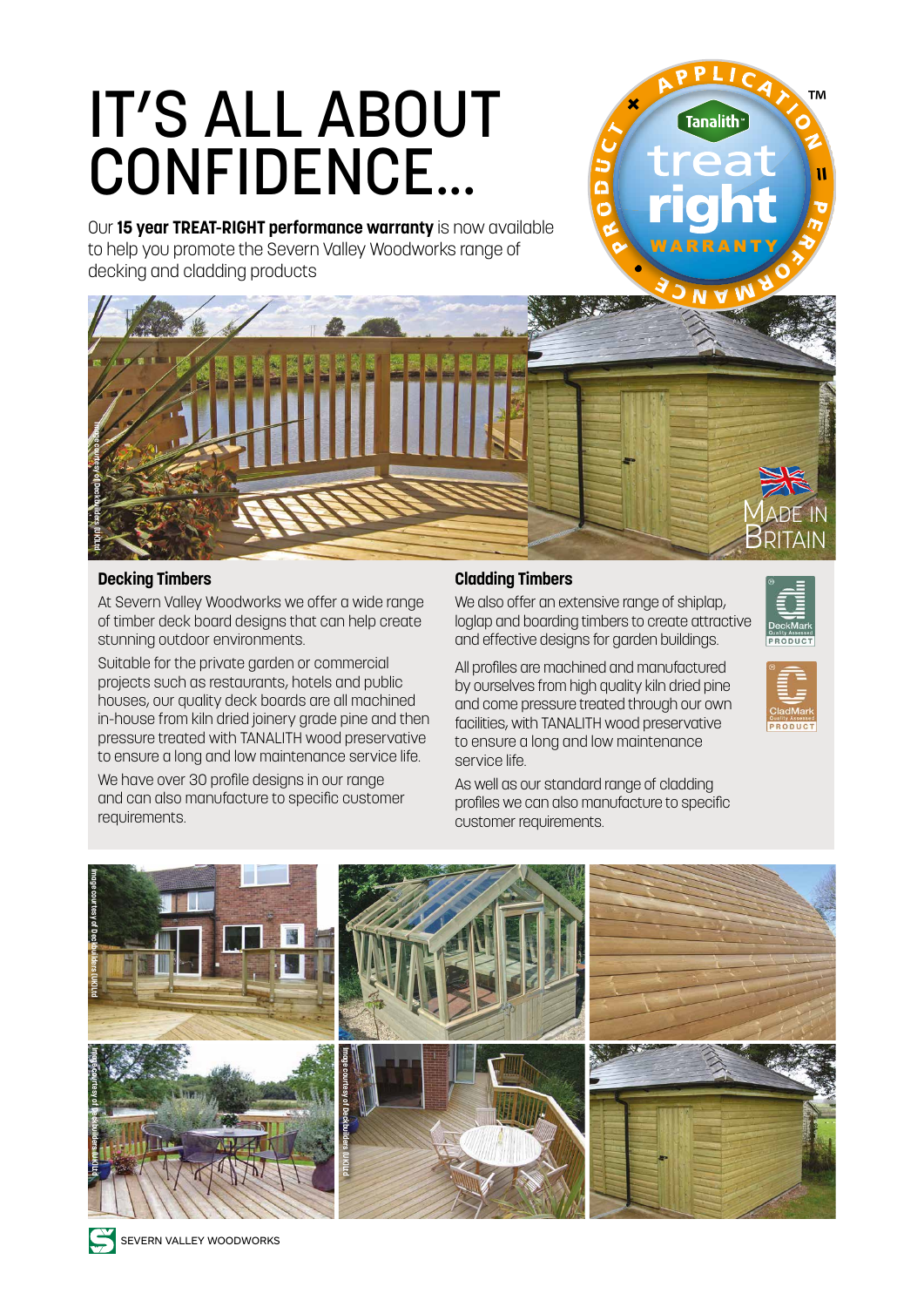# IT'S ALL ABOUT CONFIDENCE...

Our **15 year TREAT-RIGHT performance warranty** is now available to help you promote the Severn Valley Woodworks range of decking and cladding products



### **Decking Timbers**

At Severn Valley Woodworks we offer a wide range of timber deck board designs that can help create stunning outdoor environments.

Suitable for the private garden or commercial projects such as restaurants, hotels and public houses, our quality deck boards are all machined in-house from kiln dried joinery grade pine and then pressure treated with TANALITH wood preservative to ensure a long and low maintenance service life.

We have over 30 profile designs in our range and can also manufacture to specific customer requirements.

### **Cladding Timbers**

We also offer an extensive range of shiplap, loglap and boarding timbers to create attractive and effective designs for garden buildings.

MADE IN **BRITAIN** 

All profiles are machined and manufactured by ourselves from high quality kiln dried pine and come pressure treated through our own facilities, with TANALITH wood preservative to ensure a long and low maintenance service life.

As well as our standard range of cladding profiles we can also manufacture to specific customer requirements.



SEVERN VALLEY WOODWORKS